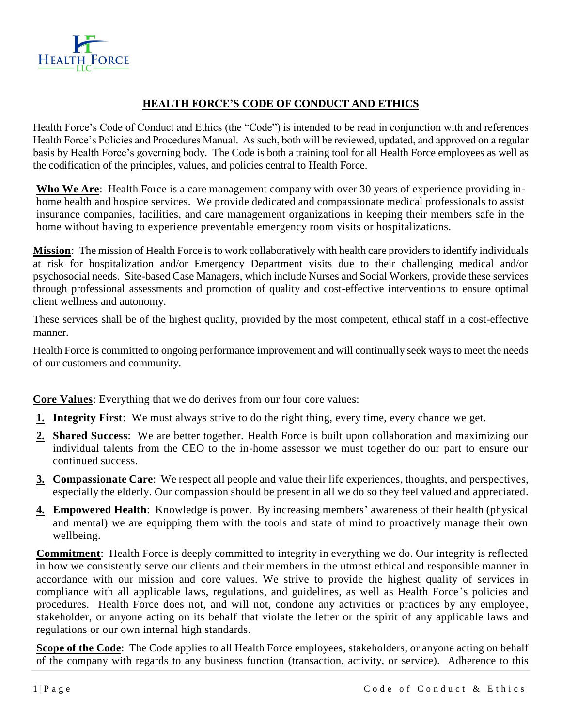

# **HEALTH FORCE'S CODE OF CONDUCT AND ETHICS**

Health Force's Code of Conduct and Ethics (the "Code") is intended to be read in conjunction with and references Health Force's Policies and Procedures Manual. As such, both will be reviewed, updated, and approved on a regular basis by Health Force's governing body. The Code is both a training tool for all Health Force employees as well as the codification of the principles, values, and policies central to Health Force.

**Who We Are**: Health Force is a care management company with over 30 years of experience providing inhome health and hospice services. We provide dedicated and compassionate medical professionals to assist insurance companies, facilities, and care management organizations in keeping their members safe in the home without having to experience preventable emergency room visits or hospitalizations.

**Mission**: The mission of Health Force is to work collaboratively with health care providers to identify individuals at risk for hospitalization and/or Emergency Department visits due to their challenging medical and/or psychosocial needs. Site-based Case Managers, which include Nurses and Social Workers, provide these services through professional assessments and promotion of quality and cost-effective interventions to ensure optimal client wellness and autonomy.

These services shall be of the highest quality, provided by the most competent, ethical staff in a cost-effective manner.

Health Force is committed to ongoing performance improvement and will continually seek ways to meet the needs of our customers and community.

**Core Values**: Everything that we do derives from our four core values:

- **1. Integrity First**: We must always strive to do the right thing, every time, every chance we get.
- **2. Shared Success**: We are better together. Health Force is built upon collaboration and maximizing our individual talents from the CEO to the in-home assessor we must together do our part to ensure our continued success.
- **3. Compassionate Care**: We respect all people and value their life experiences, thoughts, and perspectives, especially the elderly. Our compassion should be present in all we do so they feel valued and appreciated.
- **4. Empowered Health**: Knowledge is power. By increasing members' awareness of their health (physical and mental) we are equipping them with the tools and state of mind to proactively manage their own wellbeing.

**Commitment**: Health Force is deeply committed to integrity in everything we do. Our integrity is reflected in how we consistently serve our clients and their members in the utmost ethical and responsible manner in accordance with our mission and core values. We strive to provide the highest quality of services in compliance with all applicable laws, regulations, and guidelines, as well as Health Force 's policies and procedures. Health Force does not, and will not, condone any activities or practices by any employee, stakeholder, or anyone acting on its behalf that violate the letter or the spirit of any applicable laws and regulations or our own internal high standards.

**Scope of the Code**: The Code applies to all Health Force employees, stakeholders, or anyone acting on behalf of the company with regards to any business function (transaction, activity, or service). Adherence to this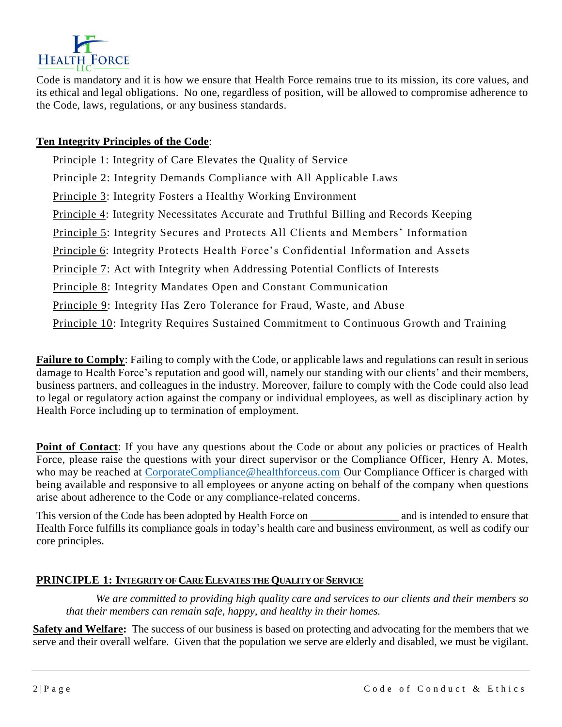

Code is mandatory and it is how we ensure that Health Force remains true to its mission, its core values, and its ethical and legal obligations. No one, regardless of position, will be allowed to compromise adherence to the Code, laws, regulations, or any business standards.

## **Ten Integrity Principles of the Code**:

Principle 1: Integrity of Care Elevates the Quality of Service Principle 2: Integrity Demands Compliance with All Applicable Laws Principle 3: Integrity Fosters a Healthy Working Environment Principle 4: Integrity Necessitates Accurate and Truthful Billing and Records Keeping Principle 5: Integrity Secures and Protects All Clients and Members' Information Principle 6: Integrity Protects Health Force's Confidential Information and Assets Principle 7: Act with Integrity when Addressing Potential Conflicts of Interests Principle 8: Integrity Mandates Open and Constant Communication Principle 9: Integrity Has Zero Tolerance for Fraud, Waste, and Abuse Principle 10: Integrity Requires Sustained Commitment to Continuous Growth and Training

**Failure to Comply**: Failing to comply with the Code, or applicable laws and regulations can result in serious damage to Health Force's reputation and good will, namely our standing with our clients' and their members, business partners, and colleagues in the industry. Moreover, failure to comply with the Code could also lead to legal or regulatory action against the company or individual employees, as well as disciplinary action by Health Force including up to termination of employment.

**Point of Contact:** If you have any questions about the Code or about any policies or practices of Health Force, please raise the questions with your direct supervisor or the Compliance Officer, Henry A. Motes, who may be reached at [CorporateCompliance@healthforceus.com](mailto:CorporateCompliance@healthforceus.com) Our Compliance Officer is charged with being available and responsive to all employees or anyone acting on behalf of the company when questions arise about adherence to the Code or any compliance-related concerns.

This version of the Code has been adopted by Health Force on  $\qquad \qquad$  and is intended to ensure that Health Force fulfills its compliance goals in today's health care and business environment, as well as codify our core principles.

## **PRINCIPLE 1: INTEGRITY OF CARE ELEVATESTHEQUALITY OF SERVICE**

*We are committed to providing high quality care and services to our clients and their members so that their members can remain safe, happy, and healthy in their homes.* 

**Safety and Welfare:** The success of our business is based on protecting and advocating for the members that we serve and their overall welfare. Given that the population we serve are elderly and disabled, we must be vigilant.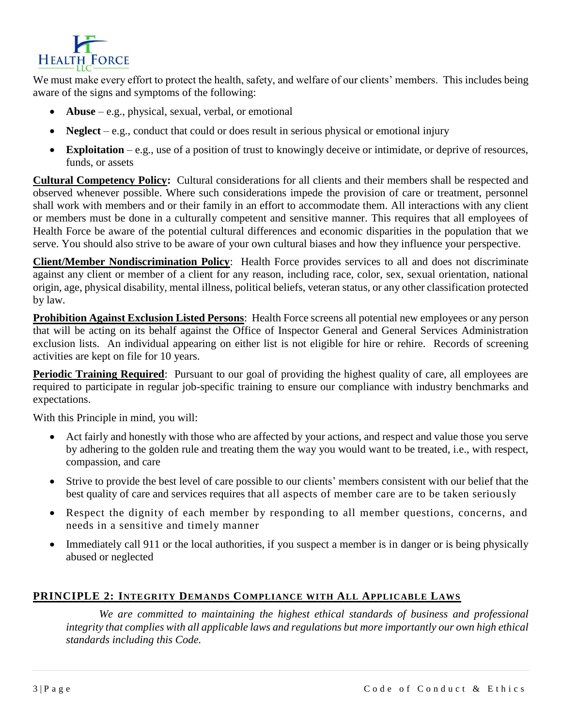

We must make every effort to protect the health, safety, and welfare of our clients' members. This includes being aware of the signs and symptoms of the following:

- **Abuse** e.g., physical, sexual, verbal, or emotional
- Neglect e.g., conduct that could or does result in serious physical or emotional injury
- **Exploitation**  e.g., use of a position of trust to knowingly deceive or intimidate, or deprive of resources, funds, or assets

**Cultural Competency Policy:** Cultural considerations for all clients and their members shall be respected and observed whenever possible. Where such considerations impede the provision of care or treatment, personnel shall work with members and or their family in an effort to accommodate them. All interactions with any client or members must be done in a culturally competent and sensitive manner. This requires that all employees of Health Force be aware of the potential cultural differences and economic disparities in the population that we serve. You should also strive to be aware of your own cultural biases and how they influence your perspective.

**Client/Member Nondiscrimination Policy**: Health Force provides services to all and does not discriminate against any client or member of a client for any reason, including race, color, sex, sexual orientation, national origin, age, physical disability, mental illness, political beliefs, veteran status, or any other classification protected by law.

**Prohibition Against Exclusion Listed Persons**: Health Force screens all potential new employees or any person that will be acting on its behalf against the Office of Inspector General and General Services Administration exclusion lists. An individual appearing on either list is not eligible for hire or rehire. Records of screening activities are kept on file for 10 years.

**Periodic Training Required**: Pursuant to our goal of providing the highest quality of care, all employees are required to participate in regular job-specific training to ensure our compliance with industry benchmarks and expectations.

With this Principle in mind, you will:

- Act fairly and honestly with those who are affected by your actions, and respect and value those you serve by adhering to the golden rule and treating them the way you would want to be treated, i.e., with respect, compassion, and care
- Strive to provide the best level of care possible to our clients' members consistent with our belief that the best quality of care and services requires that all aspects of member care are to be taken seriously
- Respect the dignity of each member by responding to all member questions, concerns, and needs in a sensitive and timely manner
- Immediately call 911 or the local authorities, if you suspect a member is in danger or is being physically abused or neglected

## **PRINCIPLE 2: INTEGRITY DEMANDS COMPLIANCE WITH ALL APPLICABLE LAWS**

*We are committed to maintaining the highest ethical standards of business and professional integrity that complies with all applicable laws and regulations but more importantly our own high ethical standards including this Code.*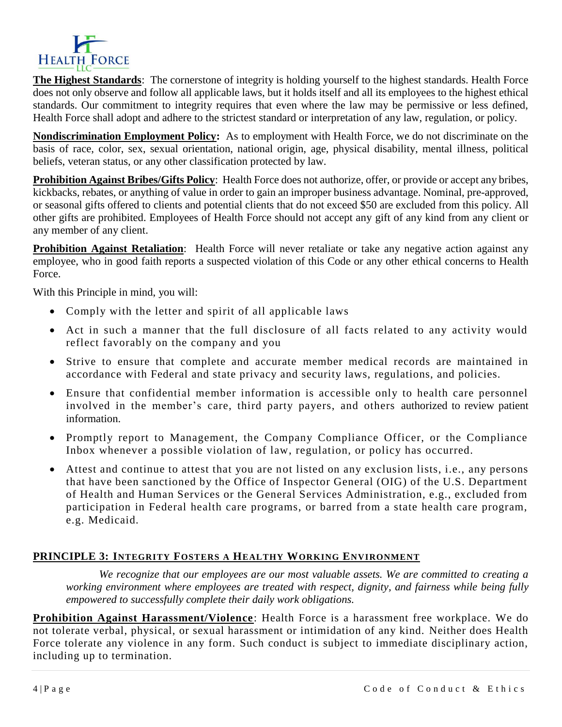

**The Highest Standards**: The cornerstone of integrity is holding yourself to the highest standards. Health Force does not only observe and follow all applicable laws, but it holds itself and all its employees to the highest ethical standards. Our commitment to integrity requires that even where the law may be permissive or less defined, Health Force shall adopt and adhere to the strictest standard or interpretation of any law, regulation, or policy.

**Nondiscrimination Employment Policy:** As to employment with Health Force, we do not discriminate on the basis of race, color, sex, sexual orientation, national origin, age, physical disability, mental illness, political beliefs, veteran status, or any other classification protected by law.

**Prohibition Against Bribes/Gifts Policy**: Health Force does not authorize, offer, or provide or accept any bribes, kickbacks, rebates, or anything of value in order to gain an improper business advantage. Nominal, pre-approved, or seasonal gifts offered to clients and potential clients that do not exceed \$50 are excluded from this policy. All other gifts are prohibited. Employees of Health Force should not accept any gift of any kind from any client or any member of any client.

**Prohibition Against Retaliation**: Health Force will never retaliate or take any negative action against any employee, who in good faith reports a suspected violation of this Code or any other ethical concerns to Health Force.

With this Principle in mind, you will:

- Comply with the letter and spirit of all applicable laws
- Act in such a manner that the full disclosure of all facts related to any activity would reflect favorably on the company and you
- Strive to ensure that complete and accurate member medical records are maintained in accordance with Federal and state privacy and security laws, regulations, and policies.
- Ensure that confidential member information is accessible only to health care personnel involved in the member's care, third party payers, and others authorized to review patient information.
- Promptly report to Management, the Company Compliance Officer, or the Compliance Inbox whenever a possible violation of law, regulation, or policy has occurred.
- Attest and continue to attest that you are not listed on any exclusion lists, i.e., any persons that have been sanctioned by the Office of Inspector General (OIG) of the U.S. Department of Health and Human Services or the General Services Administration, e.g., excluded from participation in Federal health care programs, or barred from a state health care program, e.g. Medicaid.

## **PRINCIPLE 3: INTEGRITY FOSTERS A HEALTHY WORKING ENVIRONMENT**

*We recognize that our employees are our most valuable assets. We are committed to creating a working environment where employees are treated with respect, dignity, and fairness while being fully empowered to successfully complete their daily work obligations.*

**Prohibition Against Harassment/Violence**: Health Force is a harassment free workplace. We do not tolerate verbal, physical, or sexual harassment or intimidation of any kind. Neither does Health Force tolerate any violence in any form. Such conduct is subject to immediate disciplinary action, including up to termination.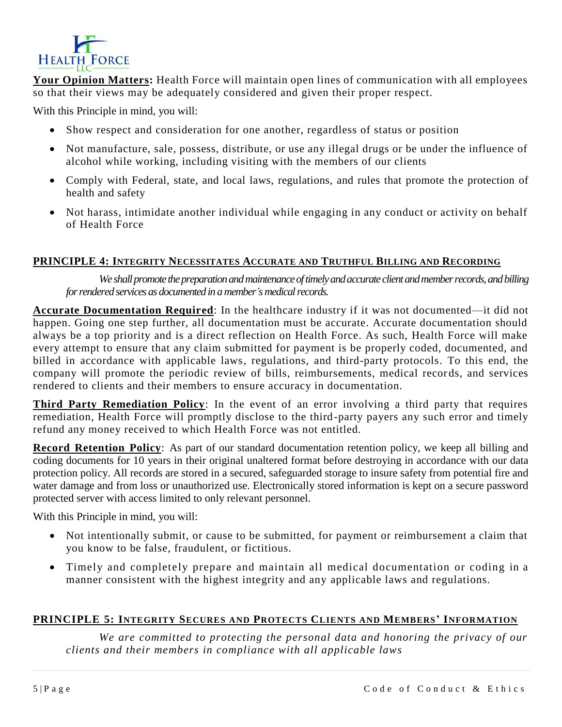

**Your Opinion Matters:** Health Force will maintain open lines of communication with all employees so that their views may be adequately considered and given their proper respect.

With this Principle in mind, you will:

- Show respect and consideration for one another, regardless of status or position
- Not manufacture, sale, possess, distribute, or use any illegal drugs or be under the influence of alcohol while working, including visiting with the members of our clients
- Comply with Federal, state, and local laws, regulations, and rules that promote the protection of health and safety
- Not harass, intimidate another individual while engaging in any conduct or activity on behalf of Health Force

#### **PRINCIPLE 4: INTEGRITY NECESSITATES ACCURATE AND TRUTHFUL BILLING AND RECORDING**

*We shall promote the preparation and maintenance of timely and accurate client and memberrecords, and billing*  for rendered services as documented in a member's medical records.

**Accurate Documentation Required**: In the healthcare industry if it was not documented—it did not happen. Going one step further, all documentation must be accurate. Accurate documentation should always be a top priority and is a direct reflection on Health Force. As such, Health Force will make every attempt to ensure that any claim submitted for payment is be properly coded, documented, and billed in accordance with applicable laws, regulations, and third-party protocols. To this end, the company will promote the periodic review of bills, reimbursements, medical records, and services rendered to clients and their members to ensure accuracy in documentation.

**Third Party Remediation Policy**: In the event of an error involving a third party that requires remediation, Health Force will promptly disclose to the third-party payers any such error and timely refund any money received to which Health Force was not entitled.

**Record Retention Policy**: As part of our standard documentation retention policy, we keep all billing and coding documents for 10 years in their original unaltered format before destroying in accordance with our data protection policy. All records are stored in a secured, safeguarded storage to insure safety from potential fire and water damage and from loss or unauthorized use. Electronically stored information is kept on a secure password protected server with access limited to only relevant personnel.

With this Principle in mind, you will:

- Not intentionally submit, or cause to be submitted, for payment or reimbursement a claim that you know to be false, fraudulent, or fictitious.
- Timely and completely prepare and maintain all medical documentation or coding in a manner consistent with the highest integrity and any applicable laws and regulations.

## **PRINCIPLE 5: INTEGRITY SECURES AND PROTECTS CLIENTS AND MEMBERS' INFORMATION**

*We are committed to protecting the personal data and honoring the privacy of our clients and their members in compliance with all applicable laws*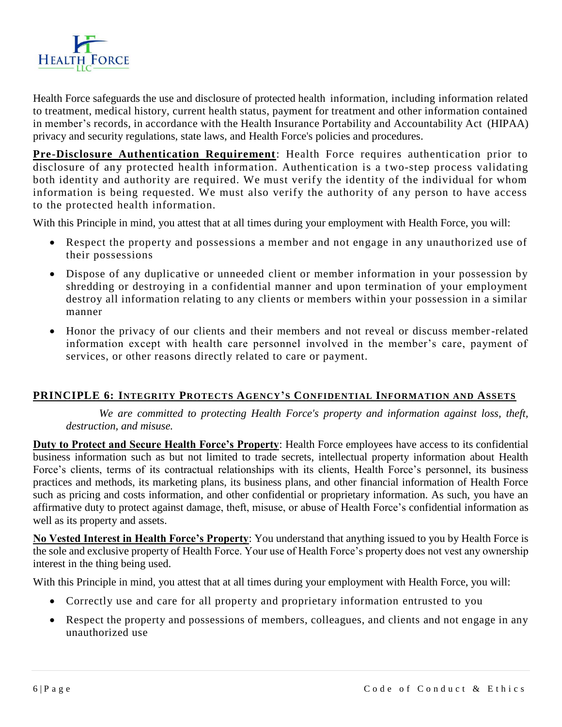

Health Force safeguards the use and disclosure of protected health information, including information related to treatment, medical history, current health status, payment for treatment and other information contained in member's records, in accordance with the Health Insurance Portability and Accountability Act (HIPAA) privacy and security regulations, state laws, and Health Force's policies and procedures.

**Pre-Disclosure Authentication Requirement**: Health Force requires authentication prior to disclosure of any protected health information. Authentication is a two-step process validating both identity and authority are required. We must verify the identity of the individual for whom information is being requested. We must also verify the authority of any person to have access to the protected health information.

With this Principle in mind, you attest that at all times during your employment with Health Force, you will:

- Respect the property and possessions a member and not engage in any unauthorized use of their possessions
- Dispose of any duplicative or unneeded client or member information in your possession by shredding or destroying in a confidential manner and upon termination of your employment destroy all information relating to any clients or members within your possession in a similar manner
- Honor the privacy of our clients and their members and not reveal or discuss member-related information except with health care personnel involved in the member's care, payment of services, or other reasons directly related to care or payment.

## **PRINCIPLE 6: INTEGRITY PROTECTS AGENCY'S CONFIDENTIAL INFORMATION AND ASSETS**

*We are committed to protecting Health Force's property and information against loss, theft, destruction, and misuse.*

**Duty to Protect and Secure Health Force's Property**: Health Force employees have access to its confidential business information such as but not limited to trade secrets, intellectual property information about Health Force's clients, terms of its contractual relationships with its clients, Health Force's personnel, its business practices and methods, its marketing plans, its business plans, and other financial information of Health Force such as pricing and costs information, and other confidential or proprietary information. As such, you have an affirmative duty to protect against damage, theft, misuse, or abuse of Health Force's confidential information as well as its property and assets.

**No Vested Interest in Health Force's Property**: You understand that anything issued to you by Health Force is the sole and exclusive property of Health Force. Your use of Health Force's property does not vest any ownership interest in the thing being used.

With this Principle in mind, you attest that at all times during your employment with Health Force, you will:

- Correctly use and care for all property and proprietary information entrusted to you
- Respect the property and possessions of members, colleagues, and clients and not engage in any unauthorized use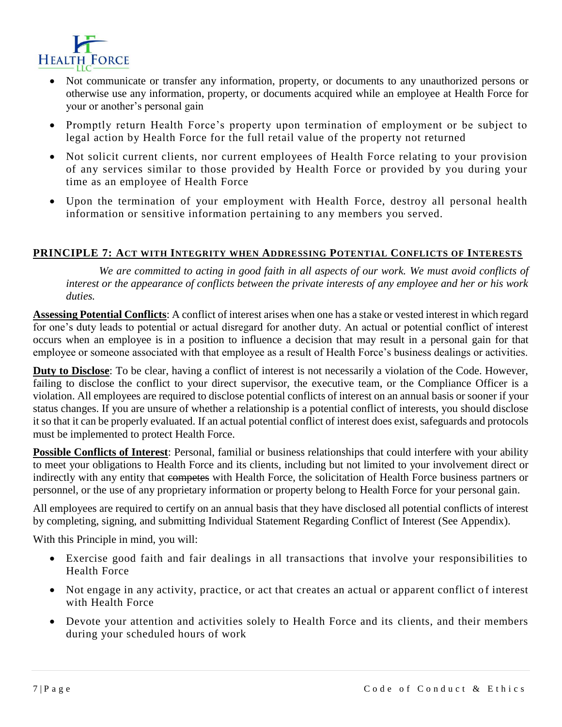

- Not communicate or transfer any information, property, or documents to any unauthorized persons or otherwise use any information, property, or documents acquired while an employee at Health Force for your or another's personal gain
- Promptly return Health Force's property upon termination of employment or be subject to legal action by Health Force for the full retail value of the property not returned
- Not solicit current clients, nor current employees of Health Force relating to your provision of any services similar to those provided by Health Force or provided by you during your time as an employee of Health Force
- Upon the termination of your employment with Health Force, destroy all personal health information or sensitive information pertaining to any members you served.

## **PRINCIPLE 7: ACT WITH INTEGRITY WHEN ADDRESSING POTENTIAL CONFLICTS OF INTERESTS**

*We are committed to acting in good faith in all aspects of our work. We must avoid conflicts of interest or the appearance of conflicts between the private interests of any employee and her or his work duties.*

**Assessing Potential Conflicts**: A conflict of interest arises when one has a stake or vested interest in which regard for one's duty leads to potential or actual disregard for another duty. An actual or potential conflict of interest occurs when an employee is in a position to influence a decision that may result in a personal gain for that employee or someone associated with that employee as a result of Health Force's business dealings or activities.

**Duty to Disclose**: To be clear, having a conflict of interest is not necessarily a violation of the Code. However, failing to disclose the conflict to your direct supervisor, the executive team, or the Compliance Officer is a violation. All employees are required to disclose potential conflicts of interest on an annual basis or sooner if your status changes. If you are unsure of whether a relationship is a potential conflict of interests, you should disclose it so that it can be properly evaluated. If an actual potential conflict of interest does exist, safeguards and protocols must be implemented to protect Health Force.

**Possible Conflicts of Interest**: Personal, familial or business relationships that could interfere with your ability to meet your obligations to Health Force and its clients, including but not limited to your involvement direct or indirectly with any entity that competes with Health Force, the solicitation of Health Force business partners or personnel, or the use of any proprietary information or property belong to Health Force for your personal gain.

All employees are required to certify on an annual basis that they have disclosed all potential conflicts of interest by completing, signing, and submitting Individual Statement Regarding Conflict of Interest (See Appendix).

With this Principle in mind, you will:

- Exercise good faith and fair dealings in all transactions that involve your responsibilities to Health Force
- Not engage in any activity, practice, or act that creates an actual or apparent conflict of interest with Health Force
- Devote your attention and activities solely to Health Force and its clients, and their members during your scheduled hours of work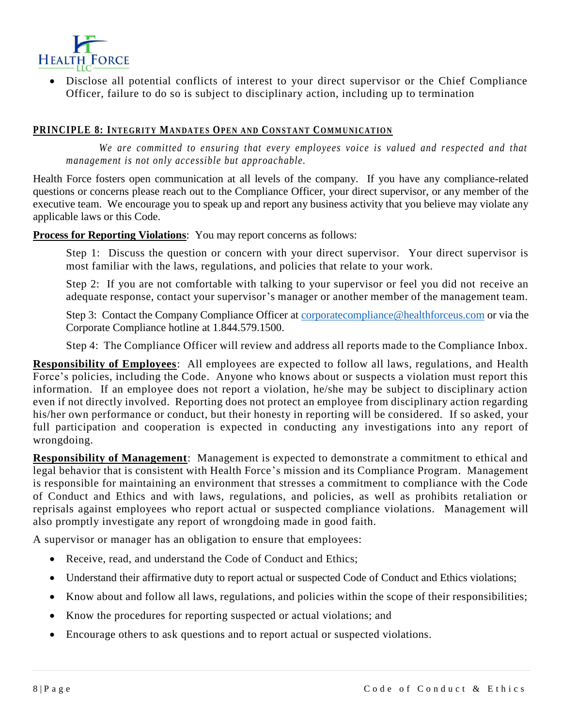

 Disclose all potential conflicts of interest to your direct supervisor or the Chief Compliance Officer, failure to do so is subject to disciplinary action, including up to termination

#### **PRINCIPLE 8: INTEGRITY MANDATES OPEN AND CONSTANT COMMUNICATION**

*We are committed to ensuring that every employees voice is valued and respected and that management is not only accessible but approachable.* 

Health Force fosters open communication at all levels of the company. If you have any compliance-related questions or concerns please reach out to the Compliance Officer, your direct supervisor, or any member of the executive team. We encourage you to speak up and report any business activity that you believe may violate any applicable laws or this Code.

**Process for Reporting Violations**: You may report concerns as follows:

Step 1: Discuss the question or concern with your direct supervisor. Your direct supervisor is most familiar with the laws, regulations, and policies that relate to your work.

Step 2: If you are not comfortable with talking to your supervisor or feel you did not receive an adequate response, contact your supervisor's manager or another member of the management team.

Step 3: Contact the Company Compliance Officer at [corporatecompliance@healthforceus.com](mailto:corporatecompliance@healthforceus.com) or via the Corporate Compliance hotline at 1.844.579.1500.

Step 4: The Compliance Officer will review and address all reports made to the Compliance Inbox.

**Responsibility of Employees**: All employees are expected to follow all laws, regulations, and Health Force's policies, including the Code. Anyone who knows about or suspects a violation must report this information. If an employee does not report a violation, he/she may be subject to disciplinary action even if not directly involved. Reporting does not protect an employee from disciplinary action regarding his/her own performance or conduct, but their honesty in reporting will be considered. If so asked, your full participation and cooperation is expected in conducting any investigations into any report of wrongdoing.

**Responsibility of Management**: Management is expected to demonstrate a commitment to ethical and legal behavior that is consistent with Health Force's mission and its Compliance Program. Management is responsible for maintaining an environment that stresses a commitment to compliance with the Code of Conduct and Ethics and with laws, regulations, and policies, as well as prohibits retaliation or reprisals against employees who report actual or suspected compliance violations. Management will also promptly investigate any report of wrongdoing made in good faith.

A supervisor or manager has an obligation to ensure that employees:

- Receive, read, and understand the Code of Conduct and Ethics:
- Understand their affirmative duty to report actual or suspected Code of Conduct and Ethics violations;
- Know about and follow all laws, regulations, and policies within the scope of their responsibilities;
- Know the procedures for reporting suspected or actual violations; and
- Encourage others to ask questions and to report actual or suspected violations.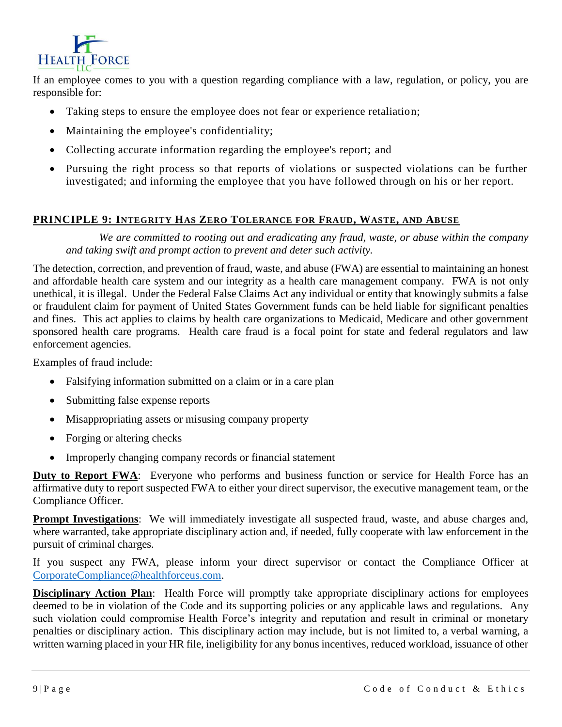

If an employee comes to you with a question regarding compliance with a law, regulation, or policy, you are responsible for:

- Taking steps to ensure the employee does not fear or experience retaliation;
- Maintaining the employee's confidentiality;
- Collecting accurate information regarding the employee's report; and
- Pursuing the right process so that reports of violations or suspected violations can be further investigated; and informing the employee that you have followed through on his or her report.

## **PRINCIPLE 9: INTEGRITY HAS ZERO TOLERANCE FOR FRAUD, WASTE, AND ABUSE**

*We are committed to rooting out and eradicating any fraud, waste, or abuse within the company and taking swift and prompt action to prevent and deter such activity.* 

The detection, correction, and prevention of fraud, waste, and abuse (FWA) are essential to maintaining an honest and affordable health care system and our integrity as a health care management company. FWA is not only unethical, it is illegal. Under the Federal False Claims Act any individual or entity that knowingly submits a false or fraudulent claim for payment of United States Government funds can be held liable for significant penalties and fines. This act applies to claims by health care organizations to Medicaid, Medicare and other government sponsored health care programs. Health care fraud is a focal point for state and federal regulators and law enforcement agencies.

Examples of fraud include:

- Falsifying information submitted on a claim or in a care plan
- Submitting false expense reports
- Misappropriating assets or misusing company property
- Forging or altering checks
- Improperly changing company records or financial statement

**Duty to Report FWA:** Everyone who performs and business function or service for Health Force has an affirmative duty to report suspected FWA to either your direct supervisor, the executive management team, or the Compliance Officer.

**Prompt Investigations**: We will immediately investigate all suspected fraud, waste, and abuse charges and, where warranted, take appropriate disciplinary action and, if needed, fully cooperate with law enforcement in the pursuit of criminal charges.

If you suspect any FWA, please inform your direct supervisor or contact the Compliance Officer at [CorporateCompliance@healthforceus.com.](mailto:CorporateCompliance@healthforceus.com)

**Disciplinary Action Plan**: Health Force will promptly take appropriate disciplinary actions for employees deemed to be in violation of the Code and its supporting policies or any applicable laws and regulations. Any such violation could compromise Health Force's integrity and reputation and result in criminal or monetary penalties or disciplinary action. This disciplinary action may include, but is not limited to, a verbal warning, a written warning placed in your HR file, ineligibility for any bonus incentives, reduced workload, issuance of other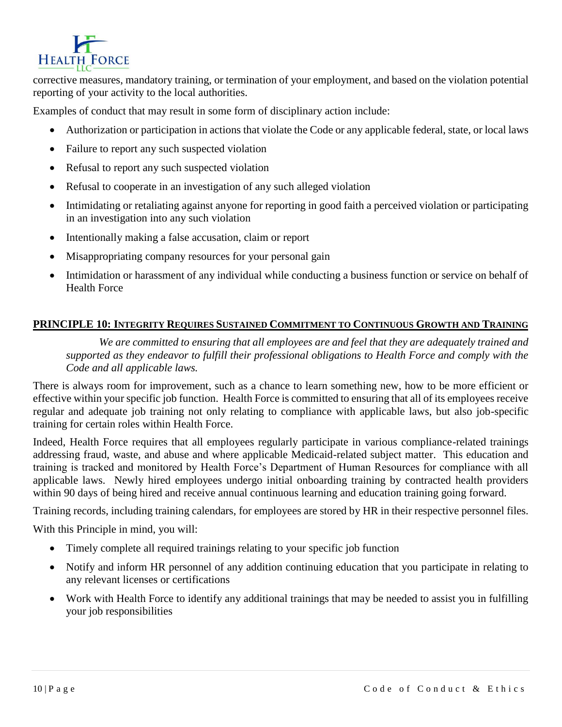

corrective measures, mandatory training, or termination of your employment, and based on the violation potential reporting of your activity to the local authorities.

Examples of conduct that may result in some form of disciplinary action include:

- Authorization or participation in actions that violate the Code or any applicable federal, state, or local laws
- Failure to report any such suspected violation
- Refusal to report any such suspected violation
- Refusal to cooperate in an investigation of any such alleged violation
- Intimidating or retaliating against anyone for reporting in good faith a perceived violation or participating in an investigation into any such violation
- Intentionally making a false accusation, claim or report
- Misappropriating company resources for your personal gain
- Intimidation or harassment of any individual while conducting a business function or service on behalf of Health Force

## **PRINCIPLE 10: INTEGRITY REQUIRES SUSTAINED COMMITMENT TO CONTINUOUS GROWTH AND TRAINING**

*We are committed to ensuring that all employees are and feel that they are adequately trained and supported as they endeavor to fulfill their professional obligations to Health Force and comply with the Code and all applicable laws.* 

There is always room for improvement, such as a chance to learn something new, how to be more efficient or effective within your specific job function. Health Force is committed to ensuring that all of its employees receive regular and adequate job training not only relating to compliance with applicable laws, but also job-specific training for certain roles within Health Force.

Indeed, Health Force requires that all employees regularly participate in various compliance-related trainings addressing fraud, waste, and abuse and where applicable Medicaid-related subject matter. This education and training is tracked and monitored by Health Force's Department of Human Resources for compliance with all applicable laws. Newly hired employees undergo initial onboarding training by contracted health providers within 90 days of being hired and receive annual continuous learning and education training going forward.

Training records, including training calendars, for employees are stored by HR in their respective personnel files.

With this Principle in mind, you will:

- Timely complete all required trainings relating to your specific job function
- Notify and inform HR personnel of any addition continuing education that you participate in relating to any relevant licenses or certifications
- Work with Health Force to identify any additional trainings that may be needed to assist you in fulfilling your job responsibilities